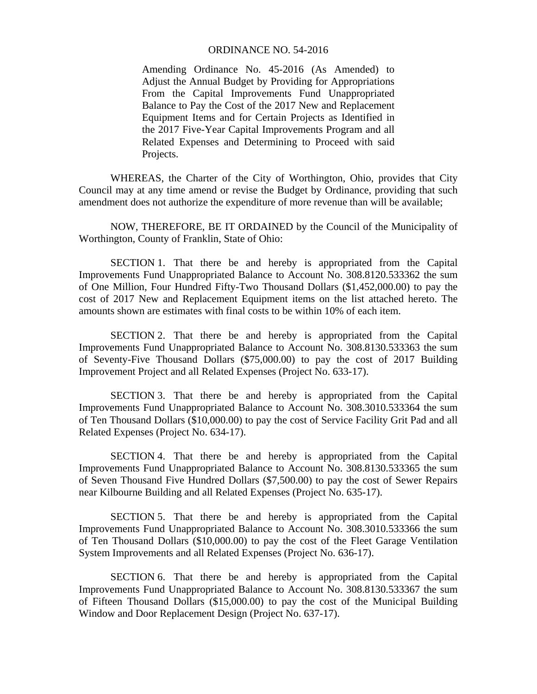## ORDINANCE NO. 54-2016

Amending Ordinance No. 45-2016 (As Amended) to Adjust the Annual Budget by Providing for Appropriations From the Capital Improvements Fund Unappropriated Balance to Pay the Cost of the 2017 New and Replacement Equipment Items and for Certain Projects as Identified in the 2017 Five-Year Capital Improvements Program and all Related Expenses and Determining to Proceed with said Projects.

 WHEREAS, the Charter of the City of Worthington, Ohio, provides that City Council may at any time amend or revise the Budget by Ordinance, providing that such amendment does not authorize the expenditure of more revenue than will be available;

 NOW, THEREFORE, BE IT ORDAINED by the Council of the Municipality of Worthington, County of Franklin, State of Ohio:

 SECTION 1. That there be and hereby is appropriated from the Capital Improvements Fund Unappropriated Balance to Account No. 308.8120.533362 the sum of One Million, Four Hundred Fifty-Two Thousand Dollars (\$1,452,000.00) to pay the cost of 2017 New and Replacement Equipment items on the list attached hereto. The amounts shown are estimates with final costs to be within 10% of each item.

 SECTION 2. That there be and hereby is appropriated from the Capital Improvements Fund Unappropriated Balance to Account No. 308.8130.533363 the sum of Seventy-Five Thousand Dollars (\$75,000.00) to pay the cost of 2017 Building Improvement Project and all Related Expenses (Project No. 633-17).

 SECTION 3. That there be and hereby is appropriated from the Capital Improvements Fund Unappropriated Balance to Account No. 308.3010.533364 the sum of Ten Thousand Dollars (\$10,000.00) to pay the cost of Service Facility Grit Pad and all Related Expenses (Project No. 634-17).

 SECTION 4. That there be and hereby is appropriated from the Capital Improvements Fund Unappropriated Balance to Account No. 308.8130.533365 the sum of Seven Thousand Five Hundred Dollars (\$7,500.00) to pay the cost of Sewer Repairs near Kilbourne Building and all Related Expenses (Project No. 635-17).

 SECTION 5. That there be and hereby is appropriated from the Capital Improvements Fund Unappropriated Balance to Account No. 308.3010.533366 the sum of Ten Thousand Dollars (\$10,000.00) to pay the cost of the Fleet Garage Ventilation System Improvements and all Related Expenses (Project No. 636-17).

SECTION 6. That there be and hereby is appropriated from the Capital Improvements Fund Unappropriated Balance to Account No. 308.8130.533367 the sum of Fifteen Thousand Dollars (\$15,000.00) to pay the cost of the Municipal Building Window and Door Replacement Design (Project No. 637-17).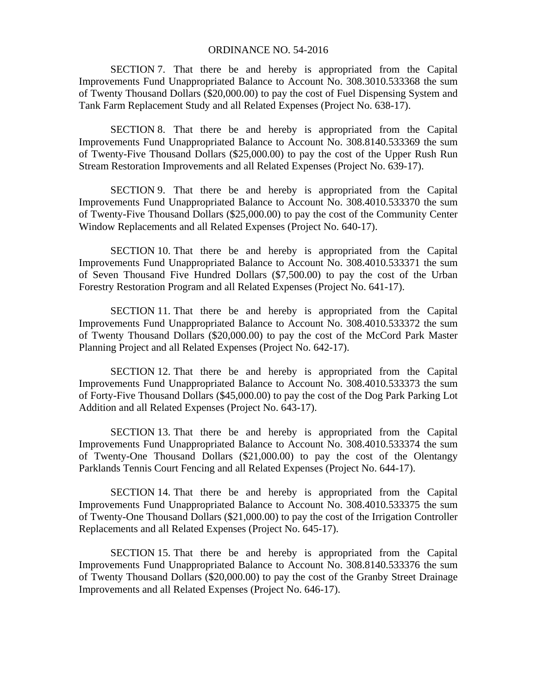## ORDINANCE NO. 54-2016

SECTION 7. That there be and hereby is appropriated from the Capital Improvements Fund Unappropriated Balance to Account No. 308.3010.533368 the sum of Twenty Thousand Dollars (\$20,000.00) to pay the cost of Fuel Dispensing System and Tank Farm Replacement Study and all Related Expenses (Project No. 638-17).

SECTION 8. That there be and hereby is appropriated from the Capital Improvements Fund Unappropriated Balance to Account No. 308.8140.533369 the sum of Twenty-Five Thousand Dollars (\$25,000.00) to pay the cost of the Upper Rush Run Stream Restoration Improvements and all Related Expenses (Project No. 639-17).

SECTION 9. That there be and hereby is appropriated from the Capital Improvements Fund Unappropriated Balance to Account No. 308.4010.533370 the sum of Twenty-Five Thousand Dollars (\$25,000.00) to pay the cost of the Community Center Window Replacements and all Related Expenses (Project No. 640-17).

SECTION 10. That there be and hereby is appropriated from the Capital Improvements Fund Unappropriated Balance to Account No. 308.4010.533371 the sum of Seven Thousand Five Hundred Dollars (\$7,500.00) to pay the cost of the Urban Forestry Restoration Program and all Related Expenses (Project No. 641-17).

SECTION 11. That there be and hereby is appropriated from the Capital Improvements Fund Unappropriated Balance to Account No. 308.4010.533372 the sum of Twenty Thousand Dollars (\$20,000.00) to pay the cost of the McCord Park Master Planning Project and all Related Expenses (Project No. 642-17).

SECTION 12. That there be and hereby is appropriated from the Capital Improvements Fund Unappropriated Balance to Account No. 308.4010.533373 the sum of Forty-Five Thousand Dollars (\$45,000.00) to pay the cost of the Dog Park Parking Lot Addition and all Related Expenses (Project No. 643-17).

SECTION 13. That there be and hereby is appropriated from the Capital Improvements Fund Unappropriated Balance to Account No. 308.4010.533374 the sum of Twenty-One Thousand Dollars (\$21,000.00) to pay the cost of the Olentangy Parklands Tennis Court Fencing and all Related Expenses (Project No. 644-17).

SECTION 14. That there be and hereby is appropriated from the Capital Improvements Fund Unappropriated Balance to Account No. 308.4010.533375 the sum of Twenty-One Thousand Dollars (\$21,000.00) to pay the cost of the Irrigation Controller Replacements and all Related Expenses (Project No. 645-17).

SECTION 15. That there be and hereby is appropriated from the Capital Improvements Fund Unappropriated Balance to Account No. 308.8140.533376 the sum of Twenty Thousand Dollars (\$20,000.00) to pay the cost of the Granby Street Drainage Improvements and all Related Expenses (Project No. 646-17).